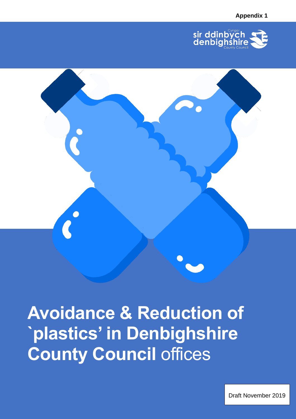



Draft November 2019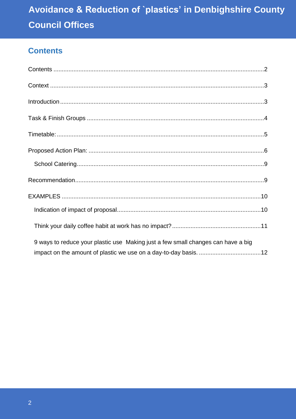## <span id="page-1-0"></span>**Contents**

| 9 ways to reduce your plastic use Making just a few small changes can have a big |  |
|----------------------------------------------------------------------------------|--|
|                                                                                  |  |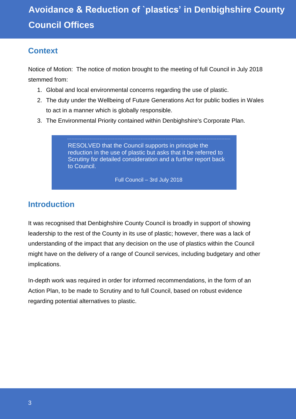## <span id="page-2-0"></span>**Context**

Notice of Motion: The notice of motion brought to the meeting of full Council in July 2018 stemmed from:

- 1. Global and local environmental concerns regarding the use of plastic.
- 2. The duty under the Wellbeing of Future Generations Act for public bodies in Wales to act in a manner which is globally responsible.
- 3. The Environmental Priority contained within Denbighshire's Corporate Plan.

RESOLVED that the Council supports in principle the reduction in the use of plastic but asks that it be referred to Scrutiny for detailed consideration and a further report back to Council.

Full Council – 3rd July 2018

## <span id="page-2-1"></span>**Introduction**

It was recognised that Denbighshire County Council is broadly in support of showing leadership to the rest of the County in its use of plastic; however, there was a lack of understanding of the impact that any decision on the use of plastics within the Council might have on the delivery of a range of Council services, including budgetary and other implications.

In-depth work was required in order for informed recommendations, in the form of an Action Plan, to be made to Scrutiny and to full Council, based on robust evidence regarding potential alternatives to plastic.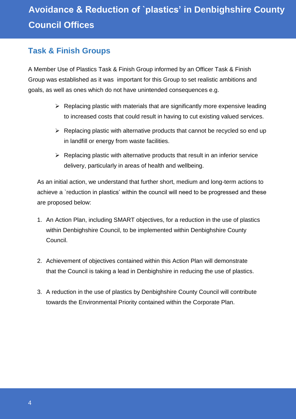## <span id="page-3-0"></span>**Task & Finish Groups**

A Member Use of Plastics Task & Finish Group informed by an Officer Task & Finish Group was established as it was important for this Group to set realistic ambitions and goals, as well as ones which do not have unintended consequences e.g.

- $\triangleright$  Replacing plastic with materials that are significantly more expensive leading to increased costs that could result in having to cut existing valued services.
- $\triangleright$  Replacing plastic with alternative products that cannot be recycled so end up in landfill or energy from waste facilities.
- $\triangleright$  Replacing plastic with alternative products that result in an inferior service delivery, particularly in areas of health and wellbeing.

As an initial action, we understand that further short, medium and long-term actions to achieve a `reduction in plastics' within the council will need to be progressed and these are proposed below:

- 1. An Action Plan, including SMART objectives, for a reduction in the use of plastics within Denbighshire Council, to be implemented within Denbighshire County Council.
- 2. Achievement of objectives contained within this Action Plan will demonstrate that the Council is taking a lead in Denbighshire in reducing the use of plastics.
- 3. A reduction in the use of plastics by Denbighshire County Council will contribute towards the Environmental Priority contained within the Corporate Plan.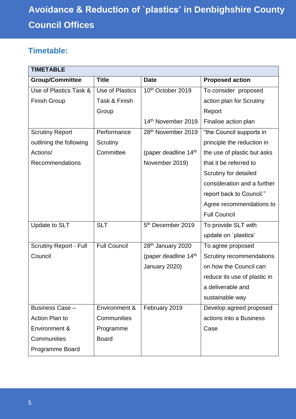## <span id="page-4-0"></span>**Timetable:**

| <b>TIMETABLE</b>              |                     |                                  |                              |
|-------------------------------|---------------------|----------------------------------|------------------------------|
| <b>Group/Committee</b>        | <b>Title</b>        | <b>Date</b>                      | <b>Proposed action</b>       |
| Use of Plastics Task &        | Use of Plastics     | 10 <sup>th</sup> October 2019    | To consider proposed         |
| <b>Finish Group</b>           | Task & Finish       |                                  | action plan for Scrutiny     |
|                               | Group               |                                  | Report                       |
|                               |                     | 14th November 2019               | Finalise action plan         |
| <b>Scrutiny Report</b>        | Performance         | 28 <sup>th</sup> November 2019   | "the Council supports in     |
| outlining the following       | Scrutiny            |                                  | principle the reduction in   |
| Actions/                      | Committee           | (paper deadline 14 <sup>th</sup> | the use of plastic but asks  |
| <b>Recommendations</b>        |                     | November 2019)                   | that it be referred to       |
|                               |                     |                                  | Scrutiny for detailed        |
|                               |                     |                                  | consideration and a further  |
|                               |                     |                                  | report back to Council."     |
|                               |                     |                                  | Agree recommendations to     |
|                               |                     |                                  | <b>Full Council</b>          |
| Update to SLT                 | <b>SLT</b>          | 5 <sup>th</sup> December 2019    | To provide SLT with          |
|                               |                     |                                  | update on 'plastics'         |
| <b>Scrutiny Report - Full</b> | <b>Full Council</b> | 28 <sup>th</sup> January 2020    | To agree proposed            |
| Council                       |                     | (paper deadline 14 <sup>th</sup> | Scrutiny recommendations     |
|                               |                     | January 2020)                    | on how the Council can       |
|                               |                     |                                  | reduce its use of plastic in |
|                               |                     |                                  | a deliverable and            |
|                               |                     |                                  | sustainable way              |
| Business Case -               | Environment &       | February 2019                    | Develop agreed proposed      |
| Action Plan to                | Communities         |                                  | actions into a Business      |
| Environment &                 | Programme           |                                  | Case                         |
| Communities                   | <b>Board</b>        |                                  |                              |
| Programme Board               |                     |                                  |                              |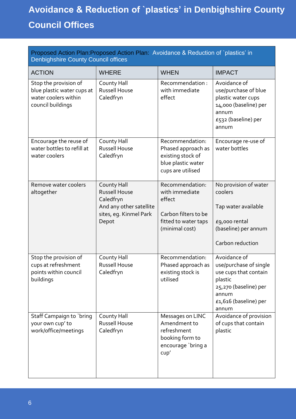<span id="page-5-0"></span>

| Proposed Action Plan: Proposed Action Plan: Avoidance & Reduction of `plastics' in<br><b>Denbighshire County Council offices</b> |                                                                                                                |                                                                                                               |                                                                                                                                                |
|----------------------------------------------------------------------------------------------------------------------------------|----------------------------------------------------------------------------------------------------------------|---------------------------------------------------------------------------------------------------------------|------------------------------------------------------------------------------------------------------------------------------------------------|
| <b>ACTION</b>                                                                                                                    | <b>WHERE</b>                                                                                                   | <b>WHEN</b>                                                                                                   | <b>IMPACT</b>                                                                                                                                  |
| Stop the provision of<br>blue plastic water cups at<br>water coolers within<br>council buildings                                 | County Hall<br><b>Russell House</b><br>Caledfryn                                                               | Recommendation:<br>with immediate<br>effect                                                                   | Avoidance of<br>use/purchase of blue<br>plastic water cups<br>14,000 (baseline) per<br>annum<br>£532 (baseline) per<br>annum                   |
| Encourage the reuse of<br>water bottles to refill at<br>water coolers                                                            | County Hall<br><b>Russell House</b><br>Caledfryn                                                               | Recommendation:<br>Phased approach as<br>existing stock of<br>blue plastic water<br>cups are utilised         | Encourage re-use of<br>water bottles                                                                                                           |
| Remove water coolers<br>altogether                                                                                               | County Hall<br><b>Russell House</b><br>Caledfryn<br>And any other satellite<br>sites, eg. Kinmel Park<br>Depot | Recommendation:<br>with immediate<br>effect<br>Carbon filters to be<br>fitted to water taps<br>(minimal cost) | No provision of water<br>coolers<br>Tap water available<br>£9,000 rental<br>(baseline) per annum<br>Carbon reduction                           |
| Stop the provision of<br>cups at refreshment<br>points within council<br>buildings                                               | County Hall<br>Russell House<br>Caledfryn                                                                      | Recommendation:<br>Phased approach as<br>existing stock is<br>utilised                                        | Avoidance of<br>use/purchase of single<br>use cups that contain<br>plastic<br>25,270 (baseline) per<br>annum<br>£1,616 (baseline) per<br>annum |
| Staff Campaign to `bring<br>your own cup' to<br>work/office/meetings                                                             | County Hall<br>Russell House<br>Caledfryn                                                                      | Messages on LINC<br>Amendment to<br>refreshment<br>booking form to<br>encourage `bring a<br>cupp'             | Avoidance of provision<br>of cups that contain<br>plastic                                                                                      |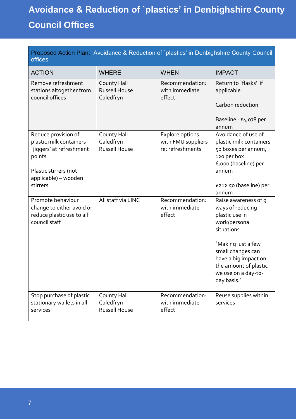| Proposed Action Plan: Avoidance & Reduction of `plastics' in Denbighshire County Council<br>offices           |                                                  |                                                           |                                                                                                                                |
|---------------------------------------------------------------------------------------------------------------|--------------------------------------------------|-----------------------------------------------------------|--------------------------------------------------------------------------------------------------------------------------------|
| <b>ACTION</b>                                                                                                 | <b>WHERE</b>                                     | <b>WHEN</b>                                               | <b>IMPACT</b>                                                                                                                  |
| Remove refreshment<br>stations altogether from<br>council offices                                             | County Hall<br><b>Russell House</b><br>Caledfryn | Recommendation:<br>with immediate<br>effect               | Return to 'flasks' if<br>applicable                                                                                            |
|                                                                                                               |                                                  |                                                           | Carbon reduction<br>Baseline : $E4,078$ per<br>annum                                                                           |
| Reduce provision of<br>plastic milk containers<br>'jiggers' at refreshment<br>points<br>Plastic stirrers (not | County Hall<br>Caledfryn<br><b>Russell House</b> | Explore options<br>with FMU suppliers<br>re: refreshments | Avoidance of use of<br>plastic milk containers<br>50 boxes per annum,<br>120 per box<br>6,000 (baseline) per<br>annum          |
| applicable) - wooden<br>stirrers                                                                              |                                                  |                                                           | £212.50 (baseline) per<br>annum                                                                                                |
| Promote behaviour<br>change to either avoid or<br>reduce plastic use to all<br>council staff                  | All staff via LINC                               | Recommendation:<br>with immediate<br>effect               | Raise awareness of 9<br>ways of reducing<br>plastic use in<br>work/personal<br>situations                                      |
|                                                                                                               |                                                  |                                                           | `Making just a few<br>small changes can<br>have a big impact on<br>the amount of plastic<br>we use on a day-to-<br>day basis.' |
| Stop purchase of plastic<br>stationary wallets in all<br>services                                             | County Hall<br>Caledfryn<br><b>Russell House</b> | Recommendation:<br>with immediate<br>effect               | Reuse supplies within<br>services                                                                                              |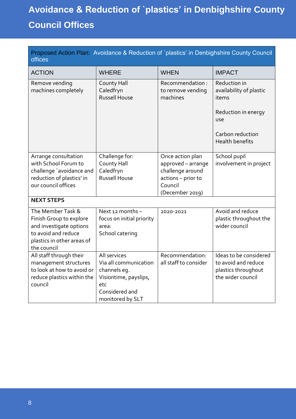<span id="page-7-0"></span>

| Proposed Action Plan: Avoidance & Reduction of `plastics' in Denbighshire County Council<br>offices                                         |                                                                                                                             |                                                                                                                |                                                                                           |
|---------------------------------------------------------------------------------------------------------------------------------------------|-----------------------------------------------------------------------------------------------------------------------------|----------------------------------------------------------------------------------------------------------------|-------------------------------------------------------------------------------------------|
| <b>ACTION</b>                                                                                                                               | <b>WHERE</b>                                                                                                                | <b>WHEN</b>                                                                                                    | <b>IMPACT</b>                                                                             |
| Remove vending<br>machines completely                                                                                                       | County Hall<br>Caledfryn<br><b>Russell House</b>                                                                            | Recommendation:<br>to remove vending<br>machines                                                               | Reduction in<br>availability of plastic<br>items<br>Reduction in energy<br><b>USe</b>     |
|                                                                                                                                             |                                                                                                                             |                                                                                                                | Carbon reduction<br><b>Health benefits</b>                                                |
| Arrange consultation<br>with School Forum to<br>challenge 'avoidance and<br>reduction of plastics' in<br>our council offices                | Challenge for:<br>County Hall<br>Caledfryn<br><b>Russell House</b>                                                          | Once action plan<br>approved - arrange<br>challenge around<br>actions - prior to<br>Council<br>(December 2019) | School pupil<br>involvement in project                                                    |
| <b>NEXT STEPS</b>                                                                                                                           |                                                                                                                             |                                                                                                                |                                                                                           |
| The Member Task &<br>Finish Group to explore<br>and investigate options<br>to avoid and reduce<br>plastics in other areas of<br>the council | Next 12 months -<br>focus on initial priority<br>area:<br>School catering                                                   | 2020-2021                                                                                                      | Avoid and reduce<br>plastic throughout the<br>wider council                               |
| All staff through their<br>management structures<br>to look at how to avoid or<br>reduce plastics within the<br>council                     | All services<br>Via all communication<br>channels eg.<br>Visiontime, payslips,<br>etc<br>Considered and<br>monitored by SLT | Recommendation:<br>all staff to consider                                                                       | Ideas to be considered<br>to avoid and reduce<br>plastics throughout<br>the wider council |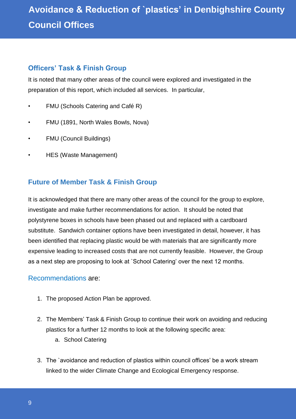### **Officers' Task & Finish Group**

It is noted that many other areas of the council were explored and investigated in the preparation of this report, which included all services. In particular,

- FMU (Schools Catering and Café R)
- FMU (1891, North Wales Bowls, Nova)
- FMU (Council Buildings)
- HES (Waste Management)

## **Future of Member Task & Finish Group**

It is acknowledged that there are many other areas of the council for the group to explore, investigate and make further recommendations for action. It should be noted that polystyrene boxes in schools have been phased out and replaced with a cardboard substitute. Sandwich container options have been investigated in detail, however, it has been identified that replacing plastic would be with materials that are significantly more expensive leading to increased costs that are not currently feasible. However, the Group as a next step are proposing to look at `School Catering' over the next 12 months.

### <span id="page-8-0"></span>Recommendations are:

- 1. The proposed Action Plan be approved.
- 2. The Members' Task & Finish Group to continue their work on avoiding and reducing plastics for a further 12 months to look at the following specific area:
	- a. School Catering
- 3. The `avoidance and reduction of plastics within council offices' be a work stream linked to the wider Climate Change and Ecological Emergency response.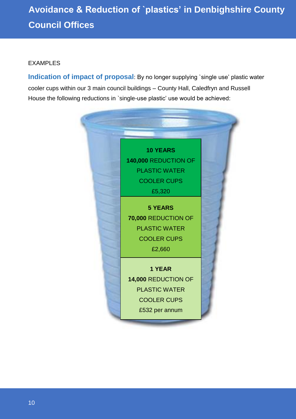### <span id="page-9-0"></span>EXAMPLES

<span id="page-9-1"></span>**Indication of impact of proposal**: By no longer supplying 'single use' plastic water cooler cups within our 3 main council buildings – County Hall, Caledfryn and Russell House the following reductions in `single-use plastic' use would be achieved:

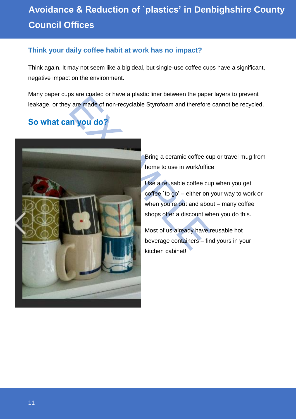### <span id="page-10-0"></span>**Think your daily coffee habit at work has no impact?**

Think again. It may not seem like a big deal, but single-use coffee cups have a significant, negative impact on the environment.

Many paper cups are coated or have a plastic liner between the paper layers to prevent leakage, or they are made of non-recyclable Styrofoam and therefore cannot be recycled.

## So what can you do?



Bring a ceramic coffee cup or travel mug from home to use in work/office

Use a reusable coffee cup when you get coffee `to go' – either on your way to work or when you're out and about – many coffee shops offer a discount when you do this.

Most of us already have reusable hot beverage containers – find yours in your kitchen cabinet!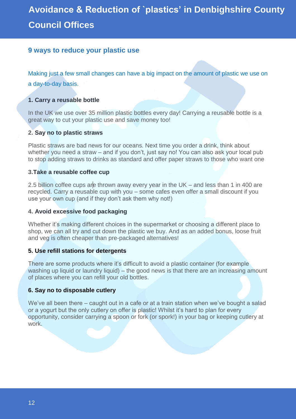### <span id="page-11-0"></span>**9 ways to reduce your plastic use**

Making just a few small changes can have a big impact on the amount of plastic we use on a day-to-day basis.

#### **[1. Carry a reusable bottle](https://www.greenpeace.org.uk/plastic-bottles/?source=wb&subsource=20170310ocwb03)**

In the UK we use over 35 million plastic bottles every day! Carrying a reusable bottle is a great way to cut your plastic use and save money too!

#### **2. [Say no to plastic straws](https://www.greenpeace.org.uk/final-straw-20170310)**

Plastic straws are bad news for our oceans. Next time you order a drink, think about whether you need a straw – and if you don't, just say no! You can also ask your local pub to stop adding straws to drinks as standard and offer paper straws to those who want one

#### **3[.Take a reusable coffee cup](https://www.greenpeace.org.uk/wake-up-and-smell-the-coffee/?source=wb&subsource=20170310ocwb01)**

2.5 billion coffee cups are thrown away every year in the UK – and less than 1 in 400 are recycled. Carry a reusable cup with you – some cafes even offer a small discount if you use your own cup (and if they don't ask them why not!)

#### **4. [Avoid excessive food packaging](https://www.greenpeace.org.uk/cut-it-out-20170313/?source=wb&subsource=20170313ocwb01)**

Whether it's making different choices in the supermarket or choosing a different place to shop, we can all try and cut down the plastic we buy. And as an added bonus, loose fruit and veg is often cheaper than pre-packaged alternatives!

#### **5. Use refill stations for detergents**

There are some products where it's difficult to avoid a plastic container (for example washing up liquid or laundry liquid) – the good news is that there are an increasing amount of places where you can refill your old bottles.

#### **6. Say no to disposable cutlery**

We've all been there – caught out in a cafe or at a train station when we've bought a salad or a yogurt but the only cutlery on offer is plastic! Whilst it's hard to plan for every opportunity, consider carrying a spoon or fork (or spork!) in your bag or keeping cutlery at work.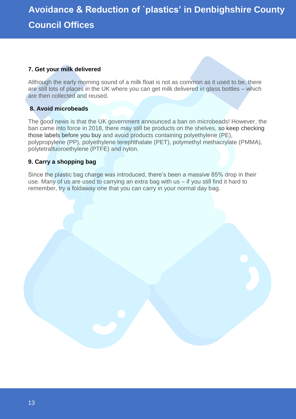### **7. Get your milk delivered**

Although the early morning sound of a milk float is not as common as it used to be, there are still lots of places in the UK where you can get milk delivered in glass bottles – which are then collected and reused.

### **8. Avoid microbeads**

The good news is that the UK government announced a ban on microbeads! However, the ban came into force in 2018, there may still be products on the shelves, [so keep checking](http://get.beatthemicrobead.org/)  [those labels before you buy](http://get.beatthemicrobead.org/) and avoid products containing polyethylene (PE), polypropylene (PP), polyethylene terephthalate (PET), polymethyl methacrylate (PMMA), polytetrafluoroethylene (PTFE) and nylon.

#### **9. Carry a shopping bag**

Since the plastic bag charge was introduced, there's been a massive 85% drop in their use. Many of us are used to carrying an extra bag with us – if you still find it hard to remember, try a foldaway one that you can carry in your normal day bag.